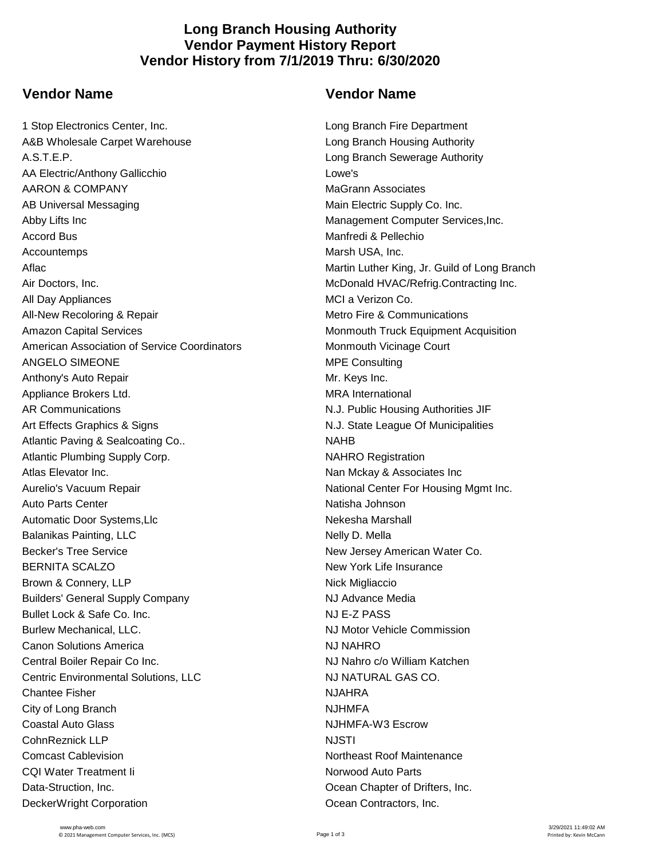## **Long Branch Housing Authority Vendor Payment History Report Vendor History from 7/1/2019 Thru: 6/30/2020**

## **Vendor Name Vendor Name**

1 Stop Electronics Center, Inc. Long Branch Fire Department A&B Wholesale Carpet Warehouse Long Branch Housing Authority A.S.T.E.P. Long Branch Sewerage Authority AA Electric/Anthony Gallicchio Lowe's AARON & COMPANY MAGrann Associates AB Universal Messaging Main Electric Supply Co. Inc. Abby Lifts Inc **Management Computer Services, Inc.** Management Computer Services, Inc. Accord Bus Manfredi & Pellechio Accountemps **Marsh USA, Inc. Marsh USA, Inc.** Aflac **Aflac** Martin Luther King, Jr. Guild of Long Branch Air Doctors, Inc. **McDonald HVAC/Refrig.Contracting Inc.** McDonald HVAC/Refrig.Contracting Inc. All Day Appliances **MCI** a Verizon Co. All-New Recoloring & Repair **Metro Fire & Communications** Metro Fire & Communications Amazon Capital Services Monmouth Truck Equipment Acquisition American Association of Service Coordinators Monmouth Vicinage Court ANGELO SIMEONE **MPE Consulting** Anthony's Auto Repair Mr. Keys Inc. Appliance Brokers Ltd. MRA International AR Communications **AR Communications N.J. Public Housing Authorities JIF** Art Effects Graphics & Signs N.J. State League Of Municipalities Atlantic Paving & Sealcoating Co.. NAHB Atlantic Plumbing Supply Corp. The Corp of the NAHRO Registration NAHRO Registration Atlas Elevator Inc. **Nan Mckay & Associates Inc.** Nan Mckay & Associates Inc Aurelio's Vacuum Repair National Center For Housing Mgmt Inc. Auto Parts Center **National Auto Parts Center** Natisha Johnson Automatic Door Systems, Llc Nekesha Marshall Balanikas Painting, LLC Nelly D. Mella Becker's Tree Service **New Jersey American Water Co.** New Jersey American Water Co. BERNITA SCALZO **New York Life Insurance** Brown & Connery, LLP Nick Migliaccio Builders' General Supply Company National Supply Redia Bullet Lock & Safe Co. Inc. NJ E-Z PASS Burlew Mechanical, LLC. NJ Motor Vehicle Commission Canon Solutions America NJ NAHRO Central Boiler Repair Co Inc. NJ Nahro c/o William Katchen Centric Environmental Solutions, LLC NJ NATURAL GAS CO. Chantee Fisher NJAHRA City of Long Branch NJHMFA Coastal Auto Glass **NJHMFA-W3 Escrow** Coastal Auto Glass CohnReznick LLP NJSTI **Comcast Cablevision** Computer Computer Computer Section Northeast Roof Maintenance CQI Water Treatment Ii Norwood Auto Parts Data-Struction, Inc. Ocean Chapter of Drifters, Inc. DeckerWright Corporation **DeckerWright Corporation Ocean Contractors**, Inc.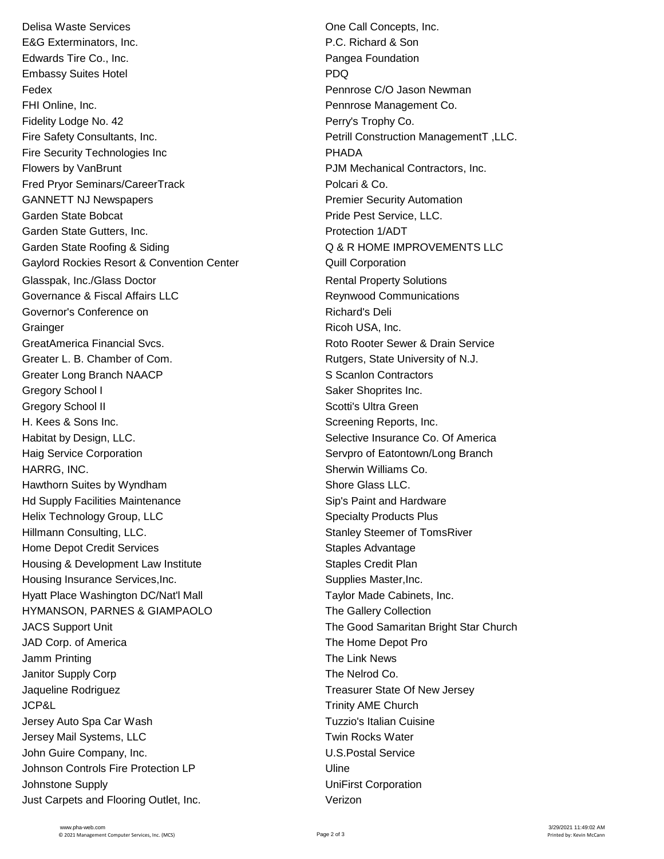Delisa Waste Services **One Call Concepts, Inc. One Call Concepts, Inc.** E&G Exterminators, Inc. P.C. Richard & Son Edwards Tire Co., Inc. **Pangea Foundation** Embassy Suites Hotel **PDQ** Fedex Pennrose C/O Jason Newman FHI Online, Inc. **Pennish Co.** Pennrose Management Co. Fidelity Lodge No. 42 **Perry's Trophy Co.** Perry's Trophy Co. Fire Safety Consultants, Inc. **Petrill Construction ManagementT** , LLC. Fire Security Technologies Inc **PHADA** Flowers by VanBrunt PJM Mechanical Contractors, Inc. Fred Pryor Seminars/CareerTrack **Principal Accord Prior** Polcari & Co. GANNETT NJ Newspapers **Premier Security Automation** Garden State Bobcat **Pride Pest Service, LLC.** Garden State Gutters, Inc. **Protection 1/ADT** Garden State Roofing & Siding  $\overline{Q}$  & R HOME IMPROVEMENTS LLC Gaylord Rockies Resort & Convention Center **Canada Convention** Cuill Corporation Glasspak, Inc./Glass Doctor **Rental Property Solutions** Rental Property Solutions Governance & Fiscal Affairs LLC **Reynwood Communications** Governor's Conference on **Richard's Deli** Richard's Deli Grainger **Grainger** Ricoh USA, Inc. GreatAmerica Financial Svcs. And Communication CreatAmerica Financial Svcs. Roto Rooter Sewer & Drain Service Greater L. B. Chamber of Com. The Comes are research as Rutgers, State University of N.J. Greater Long Branch NAACP S Scanlon Contractors Gregory School I Saker Shoprites Inc. Gregory School II Scotti's Ultra Green H. Kees & Sons Inc. Screening Reports, Inc. Habitat by Design, LLC. Selective Insurance Co. Of America Haig Service Corporation **Server Community** Servero of Eatontown/Long Branch HARRG, INC. **Sherwin Williams Co.** Sherwin Williams Co. Hawthorn Suites by Wyndham Shore Glass LLC. Hd Supply Facilities Maintenance Sip's Paint and Hardware Helix Technology Group, LLC Specialty Products Plus Hillmann Consulting, LLC. Stanley Stanley Steemer of TomsRiver Home Depot Credit Services Staples Advantage Housing & Development Law Institute The Staples Credit Plan Housing Insurance Services, Inc. The Supplies Master, Inc. Supplies Master, Inc. Hyatt Place Washington DC/Nat'l Mall **Taylor Made Cabinets, Inc.** HYMANSON, PARNES & GIAMPAOLO The Gallery Collection JACS Support Unit The Good Samaritan Bright Star Church JAD Corp. of America The Home Depot Pro Jamm Printing **The Link News** Janitor Supply Corp **The Nelrod Co.** Jaqueline Rodriguez Treasurer State Of New Jersey JCP&L Trinity AME Church Jersey Auto Spa Car Wash Tuzzio's Italian Cuisine Jersey Mail Systems, LLC **The Contract of Contract Test Contract Twin Rocks Water** John Guire Company, Inc. **U.S. Postal Service** Johnson Controls Fire Protection LP 
Uline Johnstone Supply UniFirst Corporation Just Carpets and Flooring Outlet, Inc. Verizon